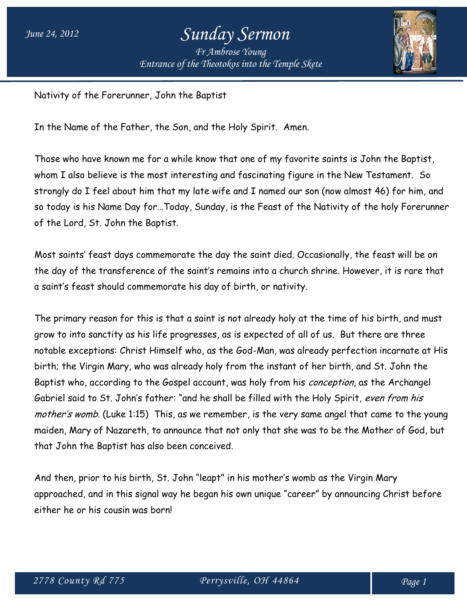*Fr Ambrose Young Entrance of the Theotokos into the Temple Skete*



Nativity of the Forerunner, John the Baptist

In the Name of the Father, the Son, and the Holy Spirit. Amen.

Those who have known me for a while know that one of my favorite saints is John the Baptist, whom I also believe is the most interesting and fascinating figure in the New Testament. So strongly do I feel about him that my late wife and I named our son (now almost 46) for him, and so today is his Name Day for…Today, Sunday, is the Feast of the Nativity of the holy Forerunner of the Lord, St. John the Baptist.

Most saints' feast days commemorate the day the saint died. Occasionally, the feast will be on the day of the transference of the saint's remains into a church shrine. However, it is rare that a saint's feast should commemorate his day of birth, or nativity.

The primary reason for this is that a saint is not already holy at the time of his birth, and must grow to into sanctity as his life progresses, as is expected of all of us. But there are three notable exceptions: Christ Himself who, as the God-Man, was already perfection incarnate at His birth; the Virgin Mary, who was already holy from the instant of her birth, and St. John the Baptist who, according to the Gospel account, was holy from his *conception*, as the Archangel Gabriel said to St. John's father: "and he shall be filled with the Holy Spirit, even from his mother's womb. (Luke 1:15) This, as we remember, is the very same angel that came to the young maiden, Mary of Nazareth, to announce that not only that she was to be the Mother of God, but that John the Baptist has also been conceived.

And then, prior to his birth, St. John "leapt" in his mother's womb as the Virgin Mary approached, and in this signal way he began his own unique "career" by announcing Christ before either he or his cousin was born!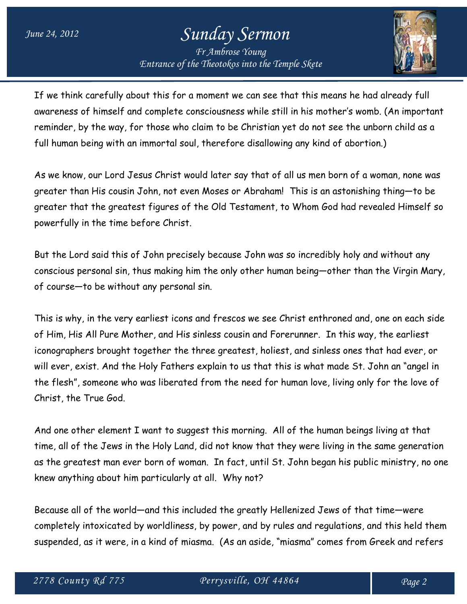*Fr Ambrose Young Entrance of the Theotokos into the Temple Skete*



If we think carefully about this for a moment we can see that this means he had already full awareness of himself and complete consciousness while still in his mother's womb. (An important reminder, by the way, for those who claim to be Christian yet do not see the unborn child as a full human being with an immortal soul, therefore disallowing any kind of abortion.)

As we know, our Lord Jesus Christ would later say that of all us men born of a woman, none was greater than His cousin John, not even Moses or Abraham! This is an astonishing thing—to be greater that the greatest figures of the Old Testament, to Whom God had revealed Himself so powerfully in the time before Christ.

But the Lord said this of John precisely because John was so incredibly holy and without any conscious personal sin, thus making him the only other human being—other than the Virgin Mary, of course—to be without any personal sin.

This is why, in the very earliest icons and frescos we see Christ enthroned and, one on each side of Him, His All Pure Mother, and His sinless cousin and Forerunner. In this way, the earliest iconographers brought together the three greatest, holiest, and sinless ones that had ever, or will ever, exist. And the Holy Fathers explain to us that this is what made St. John an "angel in the flesh", someone who was liberated from the need for human love, living only for the love of Christ, the True God.

And one other element I want to suggest this morning. All of the human beings living at that time, all of the Jews in the Holy Land, did not know that they were living in the same generation as the greatest man ever born of woman. In fact, until St. John began his public ministry, no one knew anything about him particularly at all. Why not?

Because all of the world—and this included the greatly Hellenized Jews of that time—were completely intoxicated by worldliness, by power, and by rules and regulations, and this held them suspended, as it were, in a kind of miasma. (As an aside, "miasma" comes from Greek and refers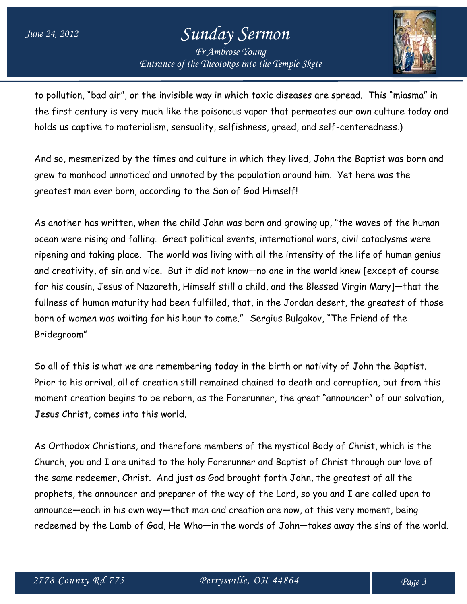*Fr Ambrose Young Entrance of the Theotokos into the Temple Skete*



to pollution, "bad air", or the invisible way in which toxic diseases are spread. This "miasma" in the first century is very much like the poisonous vapor that permeates our own culture today and holds us captive to materialism, sensuality, selfishness, greed, and self-centeredness.)

And so, mesmerized by the times and culture in which they lived, John the Baptist was born and grew to manhood unnoticed and unnoted by the population around him. Yet here was the greatest man ever born, according to the Son of God Himself!

As another has written, when the child John was born and growing up, "the waves of the human ocean were rising and falling. Great political events, international wars, civil cataclysms were ripening and taking place. The world was living with all the intensity of the life of human genius and creativity, of sin and vice. But it did not know—no one in the world knew [except of course for his cousin, Jesus of Nazareth, Himself still a child, and the Blessed Virgin Mary]—that the fullness of human maturity had been fulfilled, that, in the Jordan desert, the greatest of those born of women was waiting for his hour to come." -Sergius Bulgakov, "The Friend of the Bridegroom"

So all of this is what we are remembering today in the birth or nativity of John the Baptist. Prior to his arrival, all of creation still remained chained to death and corruption, but from this moment creation begins to be reborn, as the Forerunner, the great "announcer" of our salvation, Jesus Christ, comes into this world.

As Orthodox Christians, and therefore members of the mystical Body of Christ, which is the Church, you and I are united to the holy Forerunner and Baptist of Christ through our love of the same redeemer, Christ. And just as God brought forth John, the greatest of all the prophets, the announcer and preparer of the way of the Lord, so you and I are called upon to announce—each in his own way—that man and creation are now, at this very moment, being redeemed by the Lamb of God, He Who—in the words of John—takes away the sins of the world.